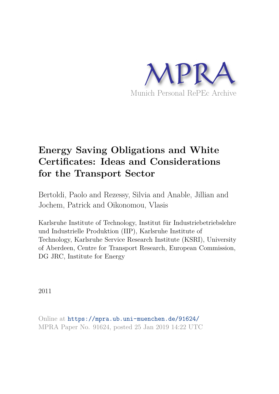

# **Energy Saving Obligations and White Certificates: Ideas and Considerations for the Transport Sector**

Bertoldi, Paolo and Rezessy, Silvia and Anable, Jillian and Jochem, Patrick and Oikonomou, Vlasis

Karlsruhe Institute of Technology, Institut für Industriebetriebslehre und Industrielle Produktion (IIP), Karlsruhe Institute of Technology, Karlsruhe Service Research Institute (KSRI), University of Aberdeen, Centre for Transport Research, European Commission, DG JRC, Institute for Energy

2011

Online at https://mpra.ub.uni-muenchen.de/91624/ MPRA Paper No. 91624, posted 25 Jan 2019 14:22 UTC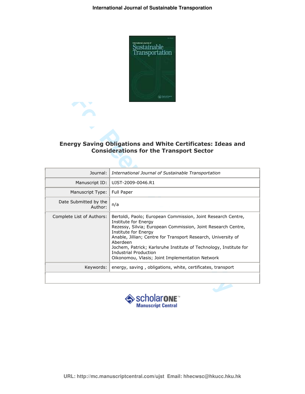

## Energy Saving Obligations and White Certificates: Ideas and **Considerations for the Transport Sector**

|                                  | Chrysler                                                                                                                                                                                                                                                                                                                                                                                                                 |
|----------------------------------|--------------------------------------------------------------------------------------------------------------------------------------------------------------------------------------------------------------------------------------------------------------------------------------------------------------------------------------------------------------------------------------------------------------------------|
|                                  | <b>Energy Saving Obligations and White Certificates: Ideas and</b><br><b>Considerations for the Transport Sector</b>                                                                                                                                                                                                                                                                                                     |
|                                  |                                                                                                                                                                                                                                                                                                                                                                                                                          |
| Journal:                         | International Journal of Sustainable Transportation                                                                                                                                                                                                                                                                                                                                                                      |
| Manuscript ID:                   | UJST-2009-0046.R1                                                                                                                                                                                                                                                                                                                                                                                                        |
| Manuscript Type:                 | Full Paper                                                                                                                                                                                                                                                                                                                                                                                                               |
| Date Submitted by the<br>Author: | n/a                                                                                                                                                                                                                                                                                                                                                                                                                      |
| Complete List of Authors:        | Bertoldi, Paolo; European Commission, Joint Research Centre,<br><b>Institute for Energy</b><br>Rezessy, Silvia; European Commission, Joint Research Centre,<br>Institute for Energy<br>Anable, Jillian; Centre for Transport Research, University of<br>Aberdeen<br>Jochem, Patrick; Karlsruhe Institute of Technology, Institute for<br><b>Industrial Production</b><br>Oikonomou, Vlasis; Joint Implementation Network |
| Keywords:                        | energy, saving, obligations, white, certificates, transport                                                                                                                                                                                                                                                                                                                                                              |
|                                  | $\triangle$ coholorours                                                                                                                                                                                                                                                                                                                                                                                                  |

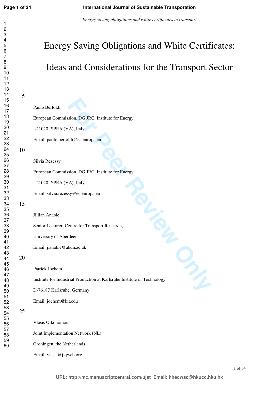## **International Journal of Sustainable Transporation**

*Energy saving obligations and white certificates in transport* 

|    | <b>Energy Saving Obligations and White Certificates:</b>                 |
|----|--------------------------------------------------------------------------|
|    | Ideas and Considerations for the Transport Sector                        |
|    |                                                                          |
| 5  |                                                                          |
|    | Paolo Bertoldi                                                           |
|    | European Commission, DG JRC, Institute for Energy                        |
|    | I-21020 ISPRA (VA), Italy                                                |
|    | Email: paolo.bertoldi@ec.europa.eu                                       |
| 10 |                                                                          |
|    | Silvia Rezessy                                                           |
|    | European Commission, DG JRC, Institute for Energy                        |
|    | I-21020 ISPRA (VA), Italy                                                |
|    | Email: silvia.rezessy@ec.europa.eu                                       |
| 15 |                                                                          |
|    | Jillian Anable                                                           |
|    | Senior Lecturer, Centre for Transport Research,                          |
|    | University of Aberdeen                                                   |
|    | Email: j.anable@abdn.ac.uk                                               |
| 20 | UNITED                                                                   |
|    | Patrick Jochem                                                           |
|    | Institute for Industrial Production at Karlsruhe Institute of Technology |
|    | D-76187 Karlsruhe, Germany                                               |
|    | Email: jochem@kit.edu                                                    |
| 25 |                                                                          |
|    | Vlasis Oikonomou                                                         |
|    | Joint Implementation Network (NL)                                        |
|    | Groningen, the Netherlands                                               |
|    | Email: vlasis@jiqweb.org                                                 |

1 of 34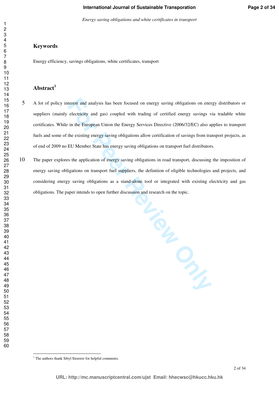*Energy saving obligations and white certificates in transport* 

#### **Keywords**

Energy efficiency, savings obligations, white certificates, transport

## **Abstract<sup>1</sup>**

- A lot of policy interest and analysis has been focused on energy saving obligations on energy distributors or suppliers (mainly electricity and gas) coupled with trading of certified energy savings via tradable white certificates. While in the European Union the Energy Services Directive (2006/32/EC) also applies to transport fuels and some of the existing energy saving obligations allow certification of savings from transport projects, as of end of 2009 no EU Member State has energy saving obligations on transport fuel distributors.
- The paper explores the application of energy saving obligations in road transport, discussing the imposition of energy saving obligations on transport fuel suppliers, the definition of eligible technologies and projects, and considering energy saving obligations as a stand-alone tool or integrated with existing electricity and gas obligations. The paper intends to open further discussion and research on the topic.

**PL. PROPER** 

 $\overline{a}$ 

 

<sup>&</sup>lt;sup>1</sup> The authors thank Sibyl Steuwer for helpful comments.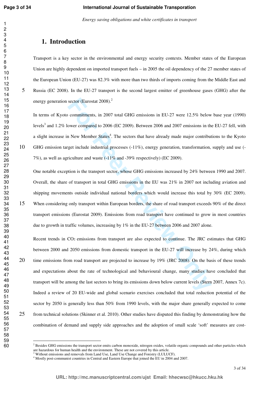*Energy saving obligations and white certificates in transport* 

### **1. Introduction**

Transport is a key sector in the environmental and energy security contexts. Member states of the European Union are highly dependent on imported transport fuels – in 2005 the oil dependency of the 27 member states of the European Union (EU-27) was 82.3% with more than two thirds of imports coming from the Middle East and Russia (EC 2008). In the EU-27 transport is the second largest emitter of greenhouse gases (GHG) after the energy generation sector (Eurostat  $2008$ ).<sup>2</sup>

In terms of Kyoto commitments, in 2007 total GHG emissions in EU-27 were 12.5% below base year (1990) levels<sup>3</sup> and 1.2% lower compared to 2006 (EC 2009). Between 2006 and 2007 emissions in the EU-27 fell, with a slight increase in New Member States<sup>4</sup>. The sectors that have already made major contributions to the Kyoto GHG emission target include industrial processes (-11%), energy generation, transformation, supply and use (- 7%), as well as agriculture and waste (-11% and -39% respectively) (EC 2009).

sector (Eurostat 2008).<sup>2</sup><br>
commitments, in 2007 total GHG emissions in EU-27 were 12.5% below<br>
ower compared to 2006 (EC 2009). Between 2006 and 2007 emissions in th<br>
New Member States<sup>4</sup>. The sectors that have already ma One notable exception is the transport sector, whose GHG emissions increased by 24% between 1990 and 2007. Overall, the share of transport in total GHG emissions in the EU was 21% in 2007 not including aviation and shipping movements outside individual national borders which would increase this total by 30% (EC 2009). When considering only transport within European borders, the share of road transport exceeds 90% of the direct transport emissions (Eurostat 2009). Emissions from road transport have continued to grow in most countries due to growth in traffic volumes, increasing by 1% in the EU-27 between 2006 and 2007 alone.

Recent trends in CO2 emissions from transport are also expected to continue. The JRC estimates that GHG between 2000 and 2050 emissions from domestic transport in the EU-27 will increase by 24%, during which 20 time emissions from road transport are projected to increase by 19% (JRC 2008). On the basis of these trends and expectations about the rate of technological and behavioural change, many studies have concluded that transport will be among the last sectors to bring its emissions down below current levels (Stern 2007, Annex 7c). Indeed a review of 20 EU-wide and global scenario exercises concluded that total reduction potential of the sector by 2050 is generally less than 50% from 1990 levels, with the major share generally expected to come from technical solutions (Skinner et al. 2010). Other studies have disputed this finding by demonstrating how the combination of demand and supply side approaches and the adoption of small scale 'soft' measures are cost-

 $\overline{a}$ 

<sup>&</sup>lt;sup>2</sup> Besides GHG emissions the transport sector emits carbon monoxide, nitrogen oxides, volatile organic compounds and other particles which

are hazardous for human health and the environment. These are not covered by this article.<br><sup>3</sup> Without emissions and removals from Land Use, Land Use Change and Forestry (LULUCF).

<sup>&</sup>lt;sup>4</sup> Mostly post-communist countries in Central and Eastern Europe that joined the EU in 2004 and 2007.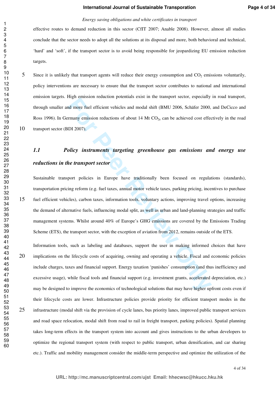#### *Energy saving obligations and white certificates in transport*

effective routes to demand reduction in this sector (CfIT 2007; Anable 2008). However, almost all studies conclude that the sector needs to adopt all the solutions at its disposal and more, both behavioral and technical, 'hard' and 'soft', if the transport sector is to avoid being responsible for jeopardizing EU emission reduction targets.

5 Since it is unlikely that transport agents will reduce their energy consumption and  $CO<sub>2</sub>$  emissions voluntarily, policy interventions are necessary to ensure that the transport sector contributes to national and international emission targets. High emission reduction potentials exist in the transport sector, especially in road transport, through smaller and more fuel efficient vehicles and modal shift (BMU 2006, Schäfer 2000, and DeCicco and Ross 1996). In Germany emission reductions of about 14 Mt  $CO<sub>2e</sub>$  can be achieved cost effectively in the road transport sector (BDI 2007).

## *1.1 Policy instruments targeting greenhouse gas emissions and energy use reductions in the transport sector*

Figure consisted relations potentials exist in the changed steeds), expecting<br>al more fuel efficient vehicles and modal shift (BMU 2006, Schäfer 2000,<br>Finany emission reductions of about 14 Mt CO<sub>2</sub><sub>c</sub> can be achieved cost Sustainable transport policies in Europe have traditionally been focused on regulations (standards), transportation pricing reform (e.g. fuel taxes, annual motor vehicle taxes, parking pricing, incentives to purchase fuel efficient vehicles), carbon taxes, information tools, voluntary actions, improving travel options, increasing the demand of alternative fuels, influencing modal split, as well as urban and land-planning strategies and traffic management systems. Whilst around 40% of Europe's GHG emissions are covered by the Emissions Trading Scheme (ETS), the transport sector, with the exception of aviation from 2012, remains outside of the ETS.

Information tools, such as labeling and databases, support the user in making informed choices that have implications on the lifecycle costs of acquiring, owning and operating a vehicle. Fiscal and economic policies include charges, taxes and financial support. Energy taxation 'punishes' consumption (and thus inefficiency and excessive usage), while fiscal tools and financial support (e.g. investment grants, accelerated depreciation, etc.) may be designed to improve the economics of technological solutions that may have higher upfront costs even if their lifecycle costs are lower. Infrastructure policies provide priority for efficient transport modes in the infrastructure (modal shift via the provision of cycle lanes, bus priority lanes, improved public transport services and road space relocation, modal shift from road to rail in freight transport, parking policies). Spatial planning takes long-term effects in the transport system into account and gives instructions to the urban developers to optimize the regional transport system (with respect to public transport, urban densification, and car sharing etc.). Traffic and mobility management consider the middle-term perspective and optimize the utilization of the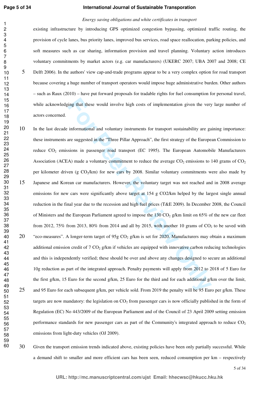#### **International Journal of Sustainable Transporation**

#### *Energy saving obligations and white certificates in transport*

existing infrastructure by introducing GPS optimized congestion bypassing, optimized traffic routing, the provision of cycle lanes, bus priority lanes, improved bus services, road space reallocation, parking policies, and soft measures such as car sharing, information provision and travel planning. Voluntary action introduces voluntary commitments by market actors (e.g. car manufacturers) (UKERC 2007; UBA 2007 and 2008; CE Delft 2006). In the authors' view cap-and-trade programs appear to be a very complex option for road transport because covering a huge number of transport operators would impose huge administrative burden. Other authors – such as Raux (2010) – have put forward proposals for tradable rights for fuel consumption for personal travel, while acknowledging that these would involve high costs of implementation given the very large number of actors concerned.

- ting that these would involve high costs of implementation given the very<br>informational and voluntary instruments for transport sustainability are gare<br>suggested in the "Three Pillar Approach", the first strategy of the E In the last decade informational and voluntary instruments for transport sustainability are gaining importance: these instruments are suggested in the "Three Pillar Approach", the first strategy of the European Commission to reduce CO<sub>2</sub> emissions in passenger road transport (EC 1995). The European Automobile Manufacturers Association (ACEA) made a voluntary commitment to reduce the average  $CO_2$  emissions to 140 grams of  $CO_2$ per kilometer driven (g CO2/km) for new cars by 2008. Similar voluntary commitments were also made by Japanese and Korean car manufacturers. However, the voluntary target was not reached and in 2008 average emissions for new cars were significantly above target at 154 g CO2/km helped by the largest single annual reduction in the final year due to the recession and high fuel prices (T&E 2009). In December 2008, the Council of Ministers and the European Parliament agreed to impose the 130 CO<sub>2</sub> g/km limit on 65% of the new car fleet from 2012, 75% from 2013, 80% from 2014 and all by 2015, with another 10 grams of  $CO<sub>2</sub>$  to be saved with 20 "eco-measures". A longer-term target of  $95g$  CO<sub>2</sub> g/km is set for 2020. Manufacturers may obtain a maximum additional emission credit of  $7 \text{ CO}_2$  g/km if vehicles are equipped with innovative carbon reducing technologies and this is independently verified; these should be over and above any changes designed to secure an additional 10g reduction as part of the integrated approach. Penalty payments will apply from 2012 to 2018 of 5 Euro for the first g/km, 15 Euro for the second g/km, 25 Euro for the third and for each additional g/km over the limit, 25 and 95 Euro for each subsequent g/km, per vehicle sold. From 2019 the penalty will be 95 Euro per g/km. These targets are now mandatory: the legislation on  $CO<sub>2</sub>$  from passenger cars is now officially published in the form of Regulation (EC) No 443/2009 of the European Parliament and of the Council of 23 April 2009 setting emission performance standards for new passenger cars as part of the Community's integrated approach to reduce  $CO<sub>2</sub>$ emissions from light-duty vehicles (OJ 2009).
- Given the transport emission trends indicated above, existing policies have been only partially successful. While a demand shift to smaller and more efficient cars has been seen, reduced consumption per km – respectively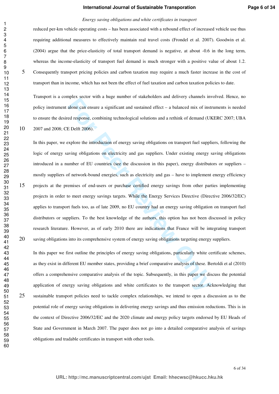#### *Energy saving obligations and white certificates in transport*

reduced per-km vehicle operating costs – has been associated with a rebound effect of increased vehicle use thus requiring additional measures to effectively maintain real travel costs (Frondel et al. 2007). Goodwin et al. (2004) argue that the price-elasticity of total transport demand is negative, at about -0.6 in the long term, whereas the income-elasticity of transport fuel demand is much stronger with a positive value of about 1.2. Consequently transport pricing policies and carbon taxation may require a much faster increase in the cost of transport than in income, which has not been the effect of fuel taxation and carbon taxation policies to date.

Transport is a complex sector with a huge number of stakeholders and delivery channels involved. Hence, no policy instrument alone can ensure a significant and sustained effect – a balanced mix of instruments is needed to ensure the desired response, combining technological solutions and a rethink of demand (UKERC 2007; UBA 2007 and 2008; CE Delft 2006).

and the and any angle band statistic and denotes and denotes and denotes and denotes and denotes and alone can ensure a significant and sustained effect – a balanced mix of instited response, combining technological soluti In this paper, we explore the introduction of energy saving obligations on transport fuel suppliers, following the logic of energy saving obligations on electricity and gas suppliers. Under existing energy saving obligations introduced in a number of EU countries (see the discussion in this paper), energy distributors or suppliers – mostly suppliers of network-bound energies, such as electricity and gas – have to implement energy efficiency projects at the premises of end-users or purchase certified energy savings from other parties implementing projects in order to meet energy savings targets. While the Energy Services Directive (Directive 2006/32/EC) applies to transport fuels too, as of late 2009, no EU country had an energy saving obligation on transport fuel distributors or suppliers. To the best knowledge of the authors, this option has not been discussed in policy research literature. However, as of early 2010 there are indications that France will be integrating transport saving obligations into its comprehensive system of energy saving obligations targeting energy suppliers.

In this paper we first outline the principles of energy saving obligations, particularly white certificate schemes, as they exist in different EU member states, providing a brief comparative analysis of these. Bertoldi et al (2010) offers a comprehensive comparative analysis of the topic. Subsequently, in this paper we discuss the potential application of energy saving obligations and white certificates to the transport sector. Acknowledging that sustainable transport policies need to tackle complex relationships, we intend to open a discussion as to the potential role of energy saving obligations in delivering energy savings and thus emission reductions. This is in the context of Directive 2006/32/EC and the 2020 climate and energy policy targets endorsed by EU Heads of State and Government in March 2007. The paper does not go into a detailed comparative analysis of savings obligations and tradable certificates in transport with other tools.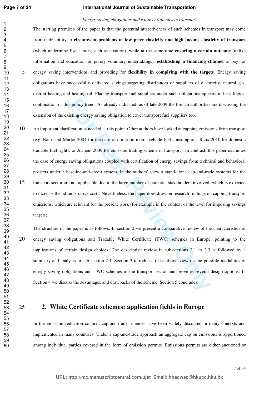#### **International Journal of Sustainable Transporation**

#### *Energy saving obligations and white certificates in transport*

The starting premises of the paper is that the potential attractiveness of such schemes in transport may come from their ability to **circumvent problems of low price elasticity and high income elasticity of transport**  (which undermine fiscal tools, such as taxation), while at the same time **ensuring a certain outcome** (unlike information and education, or purely voluntary undertakings), **establishing a financing channel** to pay for energy saving interventions and providing for **flexibility in complying with the targets**. Energy saving obligations have successfully delivered savings targeting distributors or suppliers of electricity, natural gas, district heating and heating oil. Placing transport fuel suppliers under such obligations appears to be a logical continuation of this policy trend. As already indicated, as of late 2009 the French authorities are discussing the extension of the existing energy saving obligation to cover transport fuel suppliers too.

is policy trend. As already indicated, as of late 2009 the French authorities<br>isting energy saving obligation to cover transport fuel suppliers too.<br>fication is needed at this point. Other authors have looked at capping em An important clarification is needed at this point. Other authors have looked at capping emissions from transport (e.g. Raux and Marlot 2004 for the case of domestic motor vehicle fuel consumption, Raux 2010 for domestic tradable fuel rights, or Jochem 2009 for emission trading scheme in transport). In contrast, this paper examines the case of energy saving obligations coupled with certification of energy savings from technical and behavioral projects under a baseline-and-credit system. In the authors' view a stand-alone cap-and-trade systems for the transport sector are not applicable due to the large number of potential stakeholders involved, which is expected to increase the administrative costs. Nevertheless, the paper does draw on research findings on capping transport emissions, which are relevant for the present work (for example in the context of the level for imposing savings targets).

The structure of the paper is as follows. In section 2 we present a comparative review of the characteristics of energy saving obligations and Tradable White Certificate (TWC) schemes in Europe, pointing to the implications of certain design choices. The descriptive review in sub-sections 2.1 to 2.3 is followed by a summary and analysis in sub-section 2.4. Section 3 introduces the authors' view on the possible modalities of energy saving obligations and TWC schemes in the transport sector and provides several design options. In Section 4 we discuss the advantages and drawbacks of the scheme. Section 5 concludes.

## **2. White Certificate schemes: application fields in Europe**

In the emission reduction context, cap-and-trade schemes have been widely discussed in many contexts and implemented in many countries. Under a cap-and-trade approach an aggregate cap on emissions is apportioned among individual parties covered in the form of emission permits. Emissions permits are either auctioned or

7 of 34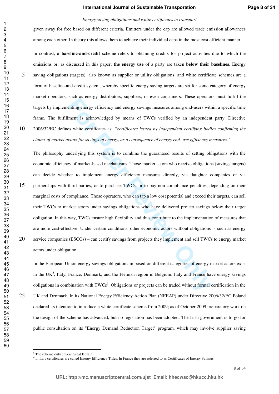#### *Energy saving obligations and white certificates in transport*

given away for free based on different criteria. Emitters under the cap are allowed trade emission allowances among each other. In theory this allows them to achieve their individual caps in the most cost efficient manner.

In contrast, **a baseline-and-credit** scheme refers to obtaining credits for project activities due to which the emissions or, as discussed in this paper, **the energy use** of a party are taken **below their baselines**. Energy saving obligations (targets), also known as supplier or utility obligations, and white certificate schemes are a form of baseline-and-credit system, whereby specific energy saving targets are set for some category of energy market operators, such as energy distributors, suppliers, or even consumers. These operators must fulfill the targets by implementing energy efficiency and energy savings measures among end-users within a specific time frame. The fulfillment is acknowledged by means of TWCs verified by an independent party. Directive 2006/32/EC defines white certificates as: *"certificates issued by independent certifying bodies confirming the claims of market actors for savings of energy, as a consequence of energy end- use efficiency measures."*

**Example 18 Solution**, and the set of the specifical and the set of the set of the set of the set of the set of the set of the set of the set of the set of the set of the set of the set of the set of the set of the set of The philosophy underlying this system is to combine the guaranteed results of setting obligations with the economic efficiency of market-based mechanisms. Those market actors who receive obligations (savings targets) can decide whether to implement energy efficiency measures directly, via daughter companies or via partnerships with third parties, or to purchase TWCs, or to pay non-compliance penalties, depending on their marginal costs of compliance. Those operators, who can tap a low cost potential and exceed their targets, can sell their TWCs to market actors under savings obligations who have delivered project savings below their target obligation. In this way, TWCs ensure high flexibility and thus contribute to the implementation of measures that are more cost-effective. Under certain conditions, other economic actors without obligations - such as energy service companies (ESCOs) – can certify savings from projects they implement and sell TWCs to energy market actors under obligation.

In the European Union energy savings obligations imposed on different categories of energy market actors exist in the UK<sup>5</sup>, Italy, France, Denmark, and the Flemish region in Belgium. Italy and France have energy savings obligations in combination with TWCs<sup>6</sup>. Obligations or projects can be traded without formal certification in the 25 UK and Denmark. In its National Energy Efficiency Action Plan (NEEAP) under Directive 2006/32/EC Poland declared its intention to introduce a white certificate scheme from 2009; as of October 2009 preparatory work on the design of the scheme has advanced, but no legislation has been adopted. The Irish government is to go for public consultation on its "Energy Demand Reduction Target" program, which may involve supplier saving

 $\overline{a}$ 

 

The scheme only covers Great Britain.

In Italy certificates are called Energy Efficiency Titles. In France they are referred to as Certificates of Energy Savings.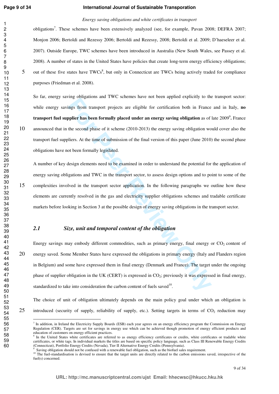#### **Page 9 of 34**

 

#### **International Journal of Sustainable Transporation**

#### *Energy saving obligations and white certificates in transport*

obligations<sup>7</sup>. These schemes have been extensively analyzed (see, for example, Pavan 2008; DEFRA 2007; Monjon 2006; Bertoldi and Rezessy 2006; Bertoldi and Rezessy, 2008; Bertoldi et al. 2009; D'haeseleer et al. 2007). Outside Europe, TWC schemes have been introduced in Australia (New South Wales, see Passey et al. 2008). A number of states in the United States have policies that create long-term energy efficiency obligations; 5 out of these five states have TWCs<sup>8</sup>, but only in Connecticut are TWCs being actively traded for compliance purposes (Friedman et al. 2008).

For position and 100 extended unter the team opposes the process of the second phase from transport projects are eligible for certification both in France politic has been formally placed under an energy saving obligation So far, energy saving obligations and TWC schemes have not been applied explicitly to the transport sector: while energy savings from transport projects are eligible for certification both in France and in Italy, **no transport fuel supplier has been formally placed under an energy saving obligation as of late 2009<sup>9</sup>. France** announced that in the second phase of it scheme (2010-2013) the energy saving obligation would cover also the transport fuel suppliers. At the time of submission of the final version of this paper (June 2010) the second phase obligations have not been formally legislated.

A number of key design elements need to be examined in order to understand the potential for the application of energy saving obligations and TWC in the transport sector, to assess design options and to point to some of the complexities involved in the transport sector application. In the following paragraphs we outline how these elements are currently resolved in the gas and electricity supplier obligations schemes and tradable certificate markets before looking in Section 3 at the possible design of energy saving obligations in the transport sector.

#### *2.1 Size, unit and temporal content of the obligation*

Energy savings may embody different commodities, such as primary energy, final energy or  $CO<sub>2</sub>$  content of energy saved. Some Member States have expressed the obligations in primary energy (Italy and Flanders region in Belgium) and some have expressed them in final energy (Denmark and France). The target under the ongoing phase of supplier obligation in the UK (CERT) is expressed in  $CO<sub>2</sub>$ ; previously it was expressed in final energy, standardized to take into consideration the carbon content of fuels saved $10$ .

The choice of unit of obligation ultimately depends on the main policy goal under which an obligation is 25 introduced (security of supply, reliability of supply, etc.). Setting targets in terms of  $CO_2$  reduction may

<sup>8</sup> In the United States white certificates are referred to as energy efficiency certificates or credits, white certificates or tradable white certificates, or white tags. In individual markets the titles are based on specific policy language, such as Class III Renewable Energy Credits (Connecticut), Portfolio Energy Credits (Nevada), Tier II Alternative Energy Credits (Pennsylvania).

 $\overline{a}$ <sup>7</sup> In addition, in Ireland the Electricity Supply Boards (ESB) each year agrees on an energy efficiency program the Commission on Energy Regulation (CER). Targets are set for savings in energy use which can be achieved though promotion of energy efficient products and education of customers on energy efficient practices.

 Saving obligation should not be confused with a renewable fuel obligation, such as the biofuel sales requirement.

<sup>&</sup>lt;sup>10</sup> The fuel-standardisation is devised to ensure that the target units are directly related to the carbon emissions saved, irrespective of the fuel(s) concerned.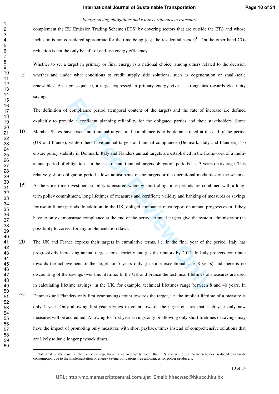#### *Energy saving obligations and white certificates in transport*

complement the EU Emission Trading Scheme (ETS) by covering sectors that are outside the ETS and whose inclusion is not considered appropriate for the time being (e.g. the residential sector)<sup>11</sup>. On the other hand  $CO<sub>2</sub>$ reduction is not the only benefit of end-use energy efficiency.

Whether to set a target in primary or final energy is a national choice, among others related to the decision whether and under what conditions to credit supply side solutions, such as cogeneration or small-scale renewables. As a consequence, a target expressed in primary energy gives a strong bias towards electricity savings.

compliance period (temporal content of the target) and the rate of incide a confident planning reliability for the obligated parties and their state field multi-annual targets and compliance is to be demonstrated at the wh The definition of compliance period (temporal content of the target) and the rate of increase are defined explicitly to provide a confident planning reliability for the obligated parties and their stakeholders. Some Member States have fixed multi-annual targets and compliance is to be demonstrated at the end of the period (UK and France), while others have annual targets and annual compliance (Denmark, Italy and Flanders). To ensure policy stability in Denmark, Italy and Flanders annual targets are established in the framework of a multiannual period of obligations. In the case of multi-annual targets obligation periods last 3 years on average. This relatively short obligation period allows adjustments of the targets or the operational modalities of the scheme. At the same time investment stability is ensured whereby short obligations periods are combined with a longterm policy commitment, long lifetimes of measures and certificate validity and banking of measures or savings for use in future periods. In addition, in the UK, obliged companies must report on annual progress even if they have to only demonstrate compliance at the end of the period. Annual targets give the system administrator the possibility to correct for any implementation flaws.

The UK and France express their targets in cumulative terms, i.e. in the final year of the period. Italy has progressively increasing annual targets for electricity and gas distributors by 2012. In Italy projects contribute towards the achievement of the target for 5 years only (in some exceptional case 8 years) and there is no discounting of the savings over this lifetime. In the UK and France the technical lifetimes of measures are used in calculating lifetime savings: in the UK, for example, technical lifetimes range between 8 and 40 years. In Denmark and Flanders only first year savings count towards the target, i.e. the implicit lifetime of a measure is only 1 year. Only allowing first-year savings to count towards the target ensures that each year only new measures will be accredited. Allowing for first year savings only or allowing only short lifetimes of savings may have the impact of promoting only measures with short payback times instead of comprehensive solutions that are likely to have longer payback times.

<sup>&</sup>lt;sup>11</sup> Note that in the case of electricity savings there is an overlap between the ETS and white certificate schemes: reduced electricity consumption due to the implementation of energy saving obligations free allowances for power producers.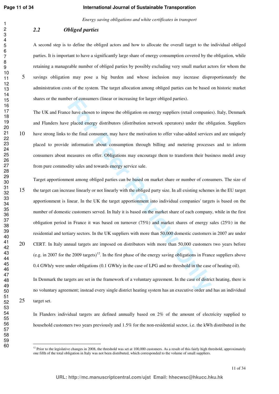#### **International Journal of Sustainable Transporation**

*Energy saving obligations and white certificates in transport* 

#### *2.2 Obliged parties*

A second step is to define the obliged actors and how to allocate the overall target to the individual obliged parties. It is important to have a significantly large share of energy consumption covered by the obligation, while retaining a manageable number of obliged parties by possibly excluding very small market actors for whom the savings obligation may pose a big burden and whose inclusion may increase disproportionately the administration costs of the system. The target allocation among obliged parties can be based on historic market shares or the number of consumers (linear or increasing for larger obliged parties).

The UK and France have chosen to impose the obligation on energy suppliers (retail companies). Italy, Denmark and Flanders have placed energy distributors (distribution network operators) under the obligation. Suppliers have strong links to the final consumer, may have the motivation to offer value-added services and are uniquely placed to provide information about consumption through billing and metering processes and to inform consumers about measures on offer. Obligations may encourage them to transform their business model away from pure commodity sales and towards energy service sale.

ice role consumers (linear or increasing for larger obliged partics).<br>
The ave chosen to impose the obligation on energy suppliers (retail companies<br>
placed energy distributors (distribution network operators) under the ob Target apportionment among obliged parties can be based on market share or number of consumers. The size of the target can increase linearly or not linearly with the obliged party size. In all existing schemes in the EU target apportionment is linear. In the UK the target apportionment into individual companies' targets is based on the number of domestic customers served. In Italy it is based on the market share of each company, while in the first obligation period in France it was based on turnover (75%) and market shares of energy sales (25%) in the residential and tertiary sectors. In the UK suppliers with more than 50,000 domestic customers in 2007 are under CERT. In Italy annual targets are imposed on distributors with more than 50,000 customers two years before (e.g. in 2007 for the 2009 targets)<sup>12</sup>. In the first phase of the energy saving obligations in France suppliers above 0.4 GWh/y were under obligations (0.1 GWh/y in the case of LPG and no threshold in the case of heating oil).

In Denmark the targets are set in the framework of a voluntary agreement. In the case of district heating, there is no voluntary agreement; instead every single district heating system has an executive order and has an individual target set.

In Flanders individual targets are defined annually based on 2% of the amount of electricity supplied to household customers two years previously and 1.5% for the non-residential sector, i.e. the kWh distributed in the

 Prior to the legislative changes in 2008, the threshold was set at 100,000 customers. As a result of this fairly high threshold, approximately one fifth of the total obligation in Italy was not been distributed, which corresponded to the volume of small suppliers.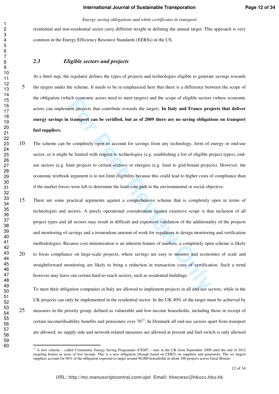#### *Energy saving obligations and white certificates in transport*

residential and non-residential sector carry different weight in defining the annual target. This approach is very common in the Energy Efficiency Resource Standards (EERSs) in the US.

#### *2.3 Eligible sectors and projects*

At a third step, the regulator defines the types of projects and technologies eligible to generate savings towards the targets under the scheme. It needs to be re-emphasized here that there is a difference between the scope of the obligation (which economic actors need to meet targets) and the scope of eligible sectors (where economic actors can implement projects that contribute towards the target). **In Italy and France projects that deliver energy savings in transport can be certified, but as of 2009 there are no saving obligations on transport fuel suppliers.** 

- The scheme can be completely open to account for savings from any technology, form of energy or end-use sector, or it might be limited with respect to technologies (e.g. establishing a list of eligible project types), enduse sectors (e.g. limit projects to certain sectors) or energies (e.g. limit to grid-bound projects). However, the economic textbook argument is to not limit eligibility because this could lead to higher costs of compliance than if the market forces were left to determine the least-cost path to the environmental or social objective.
- ich exponding a consisted to meet targets) and the scope of engine sectors<br>**For Perrony Consister Consistent** products that contribute towards the target). In Italy and France projects<br>**Francy Consister Consister Consister** There are some practical arguments against a comprehensive scheme that is completely open in terms of technologies and sectors. A purely operational consideration against extensive scope is that inclusion of all project types and all sectors may result in difficult and expensive validation of the additionality of the projects and monitoring of savings and a tremendous amount of work for regulators to design monitoring and verification methodologies. Because cost minimization is an inherent feature of markets, a completely open scheme is likely to focus compliance on large-scale projects, where savings are easy to monitor and economies of scale and straightforward monitoring are likely to bring a reduction in transaction costs of certification. Such a trend however may leave out certain hard-to-reach sectors, such as residential buildings.

To meet their obligation companies in Italy are allowed to implement projects in all end-use sectors, while in the UK projects can only be implemented in the residential sector. In the UK 40% of the target must be achieved by measures in the priority group, defined as vulnerable and low-income households, including those in receipt of certain income/disability benefits and pensioners over  $70^{13}$ . In Denmark all end-use sectors apart from transport are allowed; no supply side and network-related measures are allowed at present and fuel switch is only allowed

<sup>&</sup>lt;sup>13</sup> A new scheme – called Community Energy Saving Programme (CESP) – runs in the UK from September 2009 until the end of 2012 targeting homes in areas of low income. This is a new obligation (though based on CERT) on suppliers and generators. The six largest suppliers account for 96% of the obligation expected to target around 90,000 households in about 100 projects across Great Britain.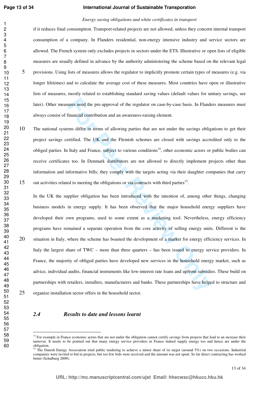#### **International Journal of Sustainable Transporation**

#### *Energy saving obligations and white certificates in transport*

if it reduces final consumption. Transport-related projects are not allowed, unless they concern internal transport consumption of a company. In Flanders residential, non-energy intensive industry and service sectors are allowed. The French system only excludes projects in sectors under the ETS. Illustrative or open lists of eligible measures are usually defined in advance by the authority administering the scheme based on the relevant legal provisions. Using lists of measures allows the regulator to implicitly promote certain types of measures (e.g. via longer lifetimes) and to calculate the average cost of these measures. Most countries have open or illustrative lists of measures, mostly related to establishing standard saving values (default values for unitary savings, see later). Other measures need the pre-approval of the regulator on case-by-case basis. In Flanders measures must always consist of financial contribution and an awareness-raising element.

The national systems differ in terms of allowing parties that are not under the savings obligations to get their project savings certified. The UK and the Flemish schemes are closed with savings accredited only to the obliged parties. In Italy and France, subject to various conditions<sup>14</sup>, other economic actors or public bodies can receive certificates too. In Denmark distributors are not allowed to directly implement projects other than information and informative bills; they comply with the targets acting via their daughter companies that carry 15 out activities related to meeting the obligations or via contracts with third parties<sup>15</sup>.

ures need the pre-approval of the regulator on case-by-case basis. In Flander<br>
Financial contribution and an awareness-raising element.<br>
Ims differ in terms of allowing parties that are not under the savings oblig<br>
Frified In the UK the supplier obligation has been introduced with the intention of, among other things, changing business models in energy supply. It has been observed that the major household energy suppliers have developed their own programs, used to some extent as a marketing tool. Nevertheless, energy efficiency programs have remained a separate operation from the core activity of selling energy units. Different is the 20 situation in Italy, where the scheme has boasted the development of a market for energy efficiency services. In Italy the largest share of TWC – more than three quarters – has been issued to energy service providers. In France, the majority of obliged parties have developed new services in the household energy market, such as advice, individual audits, financial instruments like low-interest rate loans and upfront subsidies. These build on partnerships with retailers, installers, manufacturers and banks. These partnerships have helped to structure and organize installation sector offers in the household sector.

#### *2.4 Results to date and lessons learnt*

<sup>&</sup>lt;sup>14</sup> For example in France economic actors that are not under the obligation cannot certify savings from projects that lead to an increase their turnover. It needs to be pointed out that many energy service providers in France indeed supply energy too and hence are under the obligation.

 The Danish Energy Association tried public tendering to achieve a minor share of its target (around 5%) on two occasions. Industrial companies were invited to bid in projects, but too few bids were received and the amount was not spent. So far direct contracting has worked better (Schalburg 2009).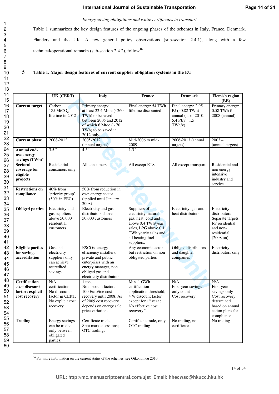#### *Energy saving obligations and white certificates in transport*

Table 1 summarizes the key design features of the ongoing phases of the schemes in Italy, France, Denmark, Flanders and the UK. A few general policy observations (sub-section 2.4.1), along with a few technical/operational remarks (sub-section 2.4.2), follow<sup>16</sup>.

#### 5 **Table 1. Major design features of current supplier obligation systems in the EU**

|                                                                             | UK (CERT)                                                                                | <b>Italy</b>                                                                                                                                               | France                                                                                                                                                              | <b>Denmark</b>                                                                              | <b>Flemish region</b><br>(BE)                                                                                         |
|-----------------------------------------------------------------------------|------------------------------------------------------------------------------------------|------------------------------------------------------------------------------------------------------------------------------------------------------------|---------------------------------------------------------------------------------------------------------------------------------------------------------------------|---------------------------------------------------------------------------------------------|-----------------------------------------------------------------------------------------------------------------------|
| <b>Current target</b>                                                       | Carbon:<br>185 MtCO <sub>2</sub><br>lifetime in 2012                                     | Primary energy:<br>at least 22.4 Mtoe (~260<br>TWh) to be saved<br>between 2005 and 2012<br>of which 6 Mtoe $($ ~ 70<br>TWh) to be saved in<br>2012 only.  | Final energy: 54 TWh<br>lifetime discounted                                                                                                                         | Final energy: 2.95<br>$PI$ (~0.82 TWh)<br>annual (as of 2010:<br>5.4 PJ/y = $1.5$<br>TWh/y) | Primary energy:<br>0.58 TWh for<br>$2008$ (annual)                                                                    |
| <b>Current</b> phase                                                        | 2008-2012                                                                                | 2005-2012<br>(annual targets)                                                                                                                              | Mid-2006 to mid-<br>2009                                                                                                                                            | 2006-2013 (annual<br>targets)                                                               | $2003 -$<br>(annual targets)                                                                                          |
| Annual end-<br>use energy<br>savings (TWh) <sup>a</sup>                     | $3.5^{b}$                                                                                | 4.5 <sup>c</sup>                                                                                                                                           | 1.3 <sup>d</sup>                                                                                                                                                    |                                                                                             |                                                                                                                       |
| <b>Sectoral</b><br>coverage for<br>eligible<br>projects                     | Residential<br>consumers only                                                            | All consumers                                                                                                                                              | All except ETS                                                                                                                                                      | All except transport                                                                        | Residential and<br>non energy<br>intensive<br>industry and<br>service                                                 |
| <b>Restrictions on</b><br>compliance                                        | 40% from<br>'priority group'<br>$(50\% \text{ in EEG})$                                  | 50% from reduction in<br>own energy sector<br>(applied until January<br>2008)                                                                              |                                                                                                                                                                     |                                                                                             |                                                                                                                       |
| <b>Obliged parties</b>                                                      | <b>Electricity</b> and<br>gas suppliers<br>above 50,000<br>residential<br>customers      | Electricity and gas<br>distributors above<br>50,000 customers                                                                                              | Suppliers of<br>electricity, natural<br>gas, heat, cold and<br>above 0.4 TWh/year<br>sales, LPG above 0.1<br>TWh yearly sales and<br>all heating fuel<br>suppliers. | Electricity, gas and<br>heat distributors                                                   | Electricity<br>distributors<br>Separate targets<br>for residential<br>and non-<br>residential<br>$(2008 \text{ on})$  |
| <b>Eligible parties</b><br>for savings<br>accreditation                     | Gas and<br>electricity<br>suppliers only<br>can achieve<br>accredited<br>savings         | ESCOs, energy<br>efficiency installers,<br>private and public<br>enterprises with an<br>energy manager, non<br>obliged gas and<br>electricity distributors | Any economic actor<br>but restriction on non<br>obligated parties                                                                                                   | Obliged distributors<br>and daughter<br>companies                                           | Electricity<br>distributors only                                                                                      |
| <b>Certification</b><br>size; discount<br>factor; explicit<br>cost recovery | N/A<br>certification;<br>No discount<br>factor in CERT;<br>No explicit cost<br>recovery. | $1$ toe;<br>No discount factor;<br>100 Euro/toe cost<br>recovery until 2008. As<br>of 2009 cost recovery<br>depends on energy sale<br>price variation.     | Min. 1 GWh<br>certification<br>application threshold;<br>4 % discount factor<br>except for $1st$ year.;<br>No effective cost<br>recovery <sup>e</sup> .             | N/A<br>First-year savings<br>only count<br>Cost recovery                                    | N/A<br>First-year<br>savings only<br>Cost recovery<br>determined<br>based on annual<br>action plans for<br>compliance |
| <b>Trading</b>                                                              | Energy savings<br>can be traded<br>only between<br>obligated<br>parties;                 | Certificate trade;<br>Spot market sessions;<br>OTC trading;                                                                                                | Certificate trade, only<br>OTC trading                                                                                                                              | No trading, no<br>certificates                                                              | No trading                                                                                                            |

 $\overline{a}$ <sup>16</sup> For more information on the current status of the schemes, see Oikonomou 2010.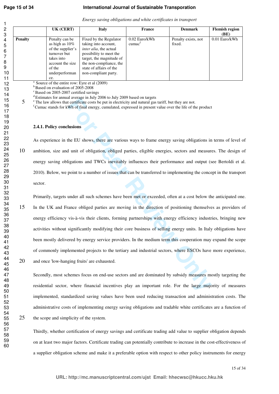## **International Journal of Sustainable Transporation**

|  |  | Energy saving obligations and white certificates in transport |  |
|--|--|---------------------------------------------------------------|--|
|--|--|---------------------------------------------------------------|--|

|                | UK (CERT)                                                                                                                                     | <b>Italy</b>                                                                                                                                                                                                          | France                                | <b>Denmark</b>                | <b>Flemish region</b><br>(BE) |
|----------------|-----------------------------------------------------------------------------------------------------------------------------------------------|-----------------------------------------------------------------------------------------------------------------------------------------------------------------------------------------------------------------------|---------------------------------------|-------------------------------|-------------------------------|
| <b>Penalty</b> | Penalty can be<br>as high as $10\%$<br>of the supplier's<br>turnover but<br>takes into<br>account the size<br>of the<br>underperforman<br>ce. | Fixed by the Regulator<br>taking into account,<br><i>inter alia</i> , the actual<br>possibility to meet the<br>target, the magnitude of<br>the non-compliance, the<br>state of affairs of the<br>non-compliant party. | $0.02$ Euro/kWh<br>cumac <sup>T</sup> | Penalty exists, not<br>fixed. | $0.01$ Euro/kWh               |

 $a$  Source of the entire row: Eyre et al  $(2009)$ 

 $<sup>b</sup>$  Based on evaluation of 2005-2008</sup>

 $c$ Based on 2005-2007 certified savings

<sup>d</sup>Estimates for annual average in July 2006 to July 2009 based on targets

<sup>e</sup> The law allows that certificate costs be put in electricity and natural gas tariff, but they are not.

<sup>f</sup>Cumac stands for kWh of final energy, cumulated, expressed in present value over the life of the product

#### **2.4.1. Policy conclusions**

As experience in the EU shows, there are various ways to frame energy saving obligations in terms of level of 10 ambition, size and unit of obligation, obliged parties, eligible energies, sectors and measures. The design of energy saving obligations and TWCs inevitably influences their performance and output (see Bertoldi et al. 2010). Below, we point to a number of issues that can be transferred to implementing the concept in the transport sector.

a average in any stoot obsay coors observo integrets.<br> **For Confidence costs be put in electricity and natural gas tariff, but they are not.**<br> **Portificate costs be put in electricity and natural gas tariff, but they are n** Primarily, targets under all such schemes have been met or exceeded, often at a cost below the anticipated one. 15 In the UK and France obliged parties are moving in the direction of positioning themselves as providers of energy efficiency vis-à-vis their clients, forming partnerships with energy efficiency industries, bringing new activities without significantly modifying their core business of selling energy units. In Italy obligations have been mostly delivered by energy service providers. In the medium term this cooperation may expand the scope of commonly implemented projects to the tertiary and industrial sectors, where ESCOs have more experience,

20 and once 'low-hanging fruits' are exhausted.

Secondly, most schemes focus on end-use sectors and are dominated by subsidy measures mostly targeting the residential sector, where financial incentives play an important role. For the large majority of measures implemented, standardized saving values have been used reducing transaction and administration costs. The administrative costs of implementing energy saving obligations and tradable white certificates are a function of 25 the scope and simplicity of the system.

Thirdly, whether certification of energy savings and certificate trading add value to supplier obligation depends on at least two major factors. Certificate trading can potentially contribute to increase in the cost-effectiveness of a supplier obligation scheme and make it a preferable option with respect to other policy instruments for energy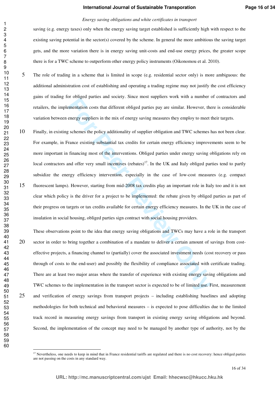#### *Energy saving obligations and white certificates in transport*

saving (e.g. energy taxes) only when the energy saving target established is sufficiently high with respect to the existing saving potential in the sector(s) covered by the scheme. In general the more ambitious the saving target gets, and the more variation there is in energy saving unit-costs and end-use energy prices, the greater scope there is for a TWC scheme to outperform other energy policy instruments (Oikonomou et al. 2010).

- The role of trading in a scheme that is limited in scope (e.g. residential sector only) is more ambiguous: the additional administration cost of establishing and operating a trading regime may not justify the cost efficiency gains of trading for obliged parties and society. Since most suppliers work with a number of contractors and retailers, the implementation costs that different obliged parties pay are similar. However, there is considerable variation between energy suppliers in the mix of energy saving measures they employ to meet their targets.
- **For the same Solution** and solution of the same mean supplied with the set of the set of the set of the set of the mean suppliers in the mean supplier of the mean supplier of the mean supplier of the mean sympletic space Finally, in existing schemes the policy additionality of supplier obligation and TWC schemes has not been clear. For example, in France existing substantial tax credits for certain energy efficiency improvements seem to be more important in financing most of the interventions. Obliged parties under energy saving obligations rely on local contractors and offer very small incentives (rebates)<sup>17</sup>. In the UK and Italy obliged parties tend to partly subsidize the energy efficiency intervention, especially in the case of low-cost measures (e.g. compact fluorescent lamps). However, starting from mid-2008 tax credits play an important role in Italy too and it is not clear which policy is the driver for a project to be implemented: the rebate given by obliged parties as part of their progress on targets or tax credits available for certain energy efficiency measures. In the UK in the case of insulation in social housing, obliged parties sign contract with social housing providers.

These observations point to the idea that energy saving obligations and TWCs may have a role in the transport sector in order to bring together a combination of a mandate to deliver a certain amount of savings from costeffective projects, a financing channel to (partially) cover the associated investment needs (cost recovery or pass through of costs to the end-user) and possibly the flexibility of compliance associated with certificate trading. There are at least two major areas where the transfer of experience with existing energy saving obligations and TWC schemes to the implementation in the transport sector is expected to be of limited use. First, measurement and verification of energy savings from transport projects – including establishing baselines and adopting methodologies for both technical and behavioral measures – is expected to pose difficulties due to the limited track record in measuring energy savings from transport in existing energy saving obligations and beyond. Second, the implementation of the concept may need to be managed by another type of authority, not by the

 $\overline{a}$ 

 Nevertheless, one needs to keep in mind that in France residential tariffs are regulated and there is no cost recovery: hence obliged parties are not passing on the costs in any standard way.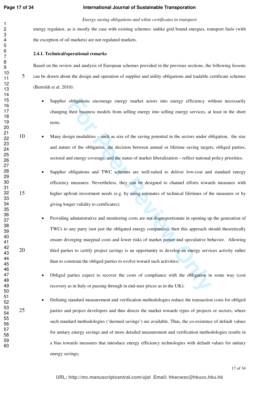#### *Energy saving obligations and white certificates in transport*

energy regulator, as is mostly the case with existing schemes: unlike grid bound energies, transport fuels (with the exception of oil markets) are not regulated markets.

#### **2.4.1. Technical/operational remarks**

Based on the review and analysis of European schemes provided in the previous sections, the following lessons can be drawn about the design and operation of supplier and utility obligations and tradable certificate schemes (Bertoldi et al. 2010):

- Supplier obligations encourage energy market actors into energy efficiency without necessarily changing their business models from selling energy into selling energy services, at least in the short term;
- 10 Many design modalities such as size of the saving potential in the sectors under obligation, the size and nature of the obligation, the decision between annual or lifetime saving targets, obliged parties, sectoral and energy coverage, and the status of market liberalization – reflect national policy priorities;
- Supplier obligations and TWC schemes are well-suited to deliver low-cost and standard energy efficiency measures. Nevertheless, they can be designed to channel efforts towards measures with higher upfront investment needs (e.g. by using estimates of technical lifetimes of the measures or by giving longer validity to certificates);
- obligations encourage energy market actors into energy efficiency witheir business models from selling energy into selling energy services, at sign modalities such as size of the saving potential in the sectors under ot Providing administrative and monitoring costs are not disproportionate in opening up the generation of TWCs to any party (not just the obligated energy companies), then this approach should theoretically ensure diverging marginal costs and lower risks of market power and speculative behavior. Allowing 20 third parties to certify project savings is an opportunity to develop an energy services activity rather than to constrain the obliged parties to evolve toward such activities;
	- Obliged parties expect to recover the costs of compliance with the obligation in some way (cost recovery as in Italy or passing through in end-user prices as in the UK);
- Defining standard measurement and verification methodologies reduce the transaction costs for obliged 25 parties and project developers and thus directs the market towards types of projects or sectors, where such standard methodologies ('deemed savings') are available. Thus, the co-existence of default values for unitary energy savings and of more detailed measurement and verification methodologies results in a bias towards measures that introduce energy efficiency technologies with default values for unitary energy savings;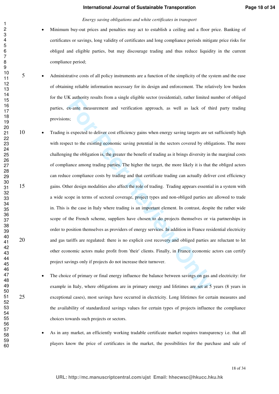#### *Energy saving obligations and white certificates in transport*

- Minimum buy-out prices and penalties may act to establish a ceiling and a floor price. Banking of certificates or savings, long validity of certificates and long compliance periods mitigate price risks for obliged and eligible parties, but may discourage trading and thus reduce liquidity in the current compliance period;
- 5 Administrative costs of all policy instruments are a function of the simplicity of the system and the ease of obtaining reliable information necessary for its design and enforcement. The relatively low burden for the UK authority results from a single eligible sector (residential), rather limited number of obliged parties, ex-ante measurement and verification approach, as well as lack of third party trading provisions;
- **Follow The measurement and verification approach, as well as lack of the system and the measurement and verification approach, as well as lack of the system and verification approach, as well as lack of the system of the** 10 • Trading is expected to deliver cost efficiency gains when energy saving targets are set sufficiently high with respect to the existing economic saving potential in the sectors covered by obligations. The more challenging the obligation is, the greater the benefit of trading as it brings diversity in the marginal costs of compliance among trading parties. The higher the target, the more likely it is that the obliged actors can reduce compliance costs by trading and that certificate trading can actually deliver cost efficiency gains. Other design modalities also affect the role of trading. Trading appears essential in a system with a wide scope in terms of sectoral coverage, project types and non-obliged parties are allowed to trade in. This is the case in Italy where trading is an important element. In contrast, despite the rather wide scope of the French scheme, suppliers have chosen to do projects themselves or via partnerships in order to position themselves as providers of energy services. In addition in France residential electricity and gas tariffs are regulated: there is no explicit cost recovery and obliged parties are reluctant to let other economic actors make profit from 'their' clients. Finally, in France economic actors can certify project savings only if projects do not increase their turnover.
- The choice of primary or final energy influence the balance between savings on gas and electricity: for example in Italy, where obligations are in primary energy and lifetimes are set at 5 years (8 years in exceptional cases), most savings have occurred in electricity. Long lifetimes for certain measures and the availability of standardized savings values for certain types of projects influence the compliance choices towards such projects or sectors.
	- As in any market, an efficiently working tradable certificate market requires transparency i.e. that all players know the price of certificates in the market, the possibilities for the purchase and sale of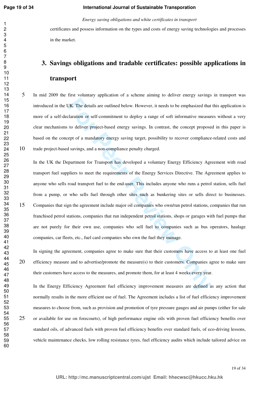*Energy saving obligations and white certificates in transport* 

certificates and possess information on the types and costs of energy saving technologies and processes in the market.

## **3. Savings obligations and tradable certificates: possible applications in transport**

In mid 2009 the first voluntary application of a scheme aiming to deliver energy savings in transport was introduced in the UK. The details are outlined below. However, it needs to be emphasized that this application is more of a self-declaration or self-commitment to deploy a range of soft informative measures without a very clear mechanisms to deliver project-based energy savings. In contrast, the concept proposed in this paper is based on the concept of a mandatory energy saving target, possibility to recover compliance-related costs and trade project-based savings, and a non-compliance penalty charged.

JK. The details are outlined below. However, it needs to be emphasized that claration or self-commitment to deploy a range of soft informative measur to deliver project-based energy savings. In contrast, the concept propos In the UK the Department for Transport has developed a voluntary Energy Efficiency Agreement with road transport fuel suppliers to meet the requirements of the Energy Services Directive. The Agreement applies to anyone who sells road transport fuel to the end-user. This includes anyone who runs a petrol station, sells fuel from a pump, or who sells fuel through other sites such as bunkering sites or sells direct to businesses. Companies that sign the agreement include major oil companies who own/run petrol stations, companies that run franchised petrol stations, companies that run independent petrol stations, shops or garages with fuel pumps that are not purely for their own use, companies who sell fuel to companies such as bus operators, haulage companies, car fleets, etc., fuel card companies who own the fuel they manage.

In signing the agreement, companies agree to make sure that their customers have access to at least one fuel efficiency measure and to advertise/promote the measure(s) to their customers. Companies agree to make sure their customers have access to the measures, and promote them, for at least 4 weeks every year.

In the Energy Efficiency Agreement fuel efficiency improvement measures are defined as any action that normally results in the more efficient use of fuel. The Agreement includes a list of fuel efficiency improvement measures to choose from, such as provision and promotion of tyre pressure gauges and air pumps (either for sale or available for use on forecourts), of high performance engine oils with proven fuel efficiency benefits over standard oils, of advanced fuels with proven fuel efficiency benefits over standard fuels, of eco-driving lessons, vehicle maintenance checks, low rolling resistance tyres, fuel efficiency audits which include tailored advice on

19 of 34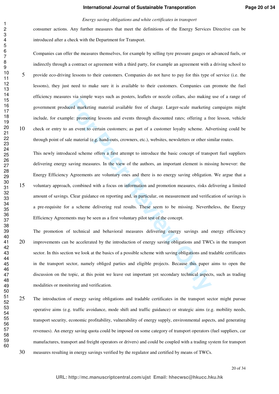#### *Energy saving obligations and white certificates in transport*

consumer actions. Any further measures that meet the definitions of the Energy Services Directive can be introduced after a check with the Department for Transport.

Companies can offer the measures themselves, for example by selling tyre pressure gauges or advanced fuels, or indirectly through a contract or agreement with a third party, for example an agreement with a driving school to provide eco-driving lessons to their customers. Companies do not have to pay for this type of service (i.e. the lessons), they just need to make sure it is available to their customers. Companies can promote the fuel efficiency measures via simple ways such as posters, leaflets or nozzle collars, also making use of a range of government produced marketing material available free of charge. Larger-scale marketing campaigns might include, for example: promoting lessons and events through discounted rates; offering a free lesson, vehicle check or entry to an event to certain customers; as part of a customer loyalty scheme. Advertising could be through point of sale material (e.g. hand-outs, crowners, etc.), websites, newsletters or other similar routes.

**For Person and Person and Persons** and the state of interact conducts and matterial peer mattering meterial available free of charge. Larger-scale marketing ple: promoting lessons and events through discounted rates; offe This newly introduced scheme offers a first attempt to introduce the basic concept of transport fuel suppliers delivering energy saving measures. In the view of the authors, an important element is missing however: the Energy Efficiency Agreements are voluntary ones and there is no energy saving obligation. We argue that a voluntary approach, combined with a focus on information and promotion measures, risks delivering a limited amount of savings. Clear guidance on reporting and, in particular, on measurement and verification of savings is a pre-requisite for a scheme delivering real results. These seem to be missing. Nevertheless, the Energy Efficiency Agreements may be seen as a first voluntary pilot test of the concept.

The promotion of technical and behavioral measures delivering energy savings and energy efficiency improvements can be accelerated by the introduction of energy saving obligations and TWCs in the transport sector. In this section we look at the basics of a possible scheme with saving obligations and tradable certificates in the transport sector, namely obliged parties and eligible projects. Because this paper aims to open the discussion on the topic, at this point we leave out important yet secondary technical aspects, such as trading modalities or monitoring and verification.

The introduction of energy saving obligations and tradable certificates in the transport sector might pursue operative aims (e.g. traffic avoidance, mode shift and traffic guidance) or strategic aims (e.g. mobility needs, transport security, economic profitability, vulnerability of energy supply, environmental aspects, and generating revenues). An energy saving quota could be imposed on some category of transport operators (fuel suppliers, car manufactures, transport and freight operators or drivers) and could be coupled with a trading system for transport measures resulting in energy savings verified by the regulator and certified by means of TWCs.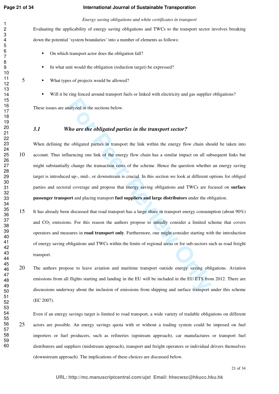### **International Journal of Sustainable Transporation**

*Energy saving obligations and white certificates in transport* 

Evaluating the applicability of energy saving obligations and TWCs to the transport sector involves breaking down the potential 'system boundaries' into a number of elements as follows:

- On which transport actor does the obligation fall?
- In what unit would the obligation (reduction target) be expressed?
- What types of projects would be allowed?
	- Will it be ring fenced around transport fuels or linked with electricity and gas supplier obligations?

These issues are analyzed in the sections below.

## *3.1 Who are the obligated parties in the transport sector?*

**For any** *xel* in the sections below.<br> **For are the obligated parties in the transport sector?**<br> **For are the obligated parties in transport the link within the energy flow chain sholuencing one link of the energy flow ch** When defining the obligated parties in transport the link within the energy flow chain should be taken into account. Thus influencing one link of the energy flow chain has a similar impact on all subsequent links but might substantially change the transaction costs of the scheme. Hence the question whether an energy saving target is introduced up-, mid-, or downstream is crucial. In this section we look at different options for obliged parties and sectoral coverage and propose that energy saving obligations and TWCs are focused on **surface passenger transport** and placing transport **fuel suppliers and large distributors** under the obligation.

- It has already been discussed that road transport has a large share in transport energy consumption (about 90%) and  $CO<sub>2</sub>$  emissions. For this reason the authors propose to initially consider a limited scheme that covers operators and measures in **road transport only**. Furthermore, one might consider starting with the introduction of energy saving obligations and TWCs within the limits of regional areas or for sub-sectors such as road freight transport.
- The authors propose to leave aviation and maritime transport outside energy saving obligations. Aviation emissions from all flights starting and landing in the EU will be included in the EU ETS from 2012. There are discussions underway about the inclusion of emissions from shipping and surface transport under this scheme (EC 2007).

Even if an energy savings target is limited to road transport, a wide variety of tradable obligations on different actors are possible. An energy savings quota with or without a trading system could be imposed on fuel importers or fuel producers, such as refineries (upstream approach), car manufactures or transport fuel distributors and suppliers (midstream approach), transport and freight operators or individual drivers themselves (downstream approach). The implications of these choices are discussed below.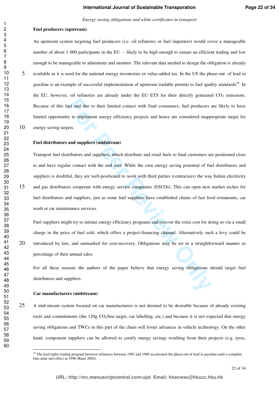#### **Fuel producers (upstream)**

An upstream system targeting fuel producers (i.e. oil refineries or fuel importers) would cover a manageable number of about 1 000 participants in the EU – likely to be high enough to ensure an efficient trading and low enough to be manageable to administer and monitor. The relevant data needed to design the obligation is already available as it is used for the national energy inventories or value-added tax. In the US the phase-out of lead in gasoline is an example of successful implementation of upstream tradable permits to fuel quality standards. In the EU, however, oil refineries are already under the EU ETS for their directly generated  $CO<sub>2</sub>$  emissions. Because of this fact and due to their limited contact with final consumers, fuel producers are likely to have limited opportunity to implement energy efficiency projects and hence are considered inappropriate target for energy saving targets.

#### **Fuel distributors and suppliers (midstream)**

act and due to their limited contact with final consumers, fuel producers is<br>y to implement energy efficiency projects and hence are considered inapp<br>ets.<br>and suppliers (midstream)<br>and suppliers (midstream)<br>initiations and Transport fuel distributors and suppliers, which distribute and retail fuels to final customers are positioned close to and have regular contact with the end user. While the own energy saving potential of fuel distributors and suppliers is doubtful, they are well-positioned to work with third parties (contractors) the way Italian electricity and gas distributors cooperate with energy service companies (ESCOs). This can open new market niches for fuel distributors and suppliers, just as some fuel suppliers have established chains of fast food restaurants, car wash or car maintenance services.

Fuel suppliers might try to initiate energy efficiency programs and recover the extra cost for doing so via a small charge in the price of fuel sold, which offers a project-financing channel. Alternatively such a levy could be 20 introduced by law, and earmarked for cost-recovery. Obligations may be set in a straightforward manner as percentage of their annual sales.

For all these reasons the authors of the paper believe that energy saving obligations should target fuel distributors and suppliers.

#### **Car manufacturers (midstream)**

 $\overline{a}$ 

A mid-stream system focused on car manufacturers is not deemed to be desirable because of already existing tools and commitments (the 120g CO<sub>2</sub>/km target, car labelling, etc.) and because it is not expected that energy saving obligations and TWCs in this part of the chain will foster advances in vehicle technology. On the other hand, component suppliers can be allowed to certify energy savings resulting from their projects (e.g. tyres,

<sup>&</sup>lt;sup>18</sup> The lead rights trading program between refineries between 1982 and 1988 accelerated the phase-out of lead in gasoline until a complete ban came into effect in 1996 (Raux 2004).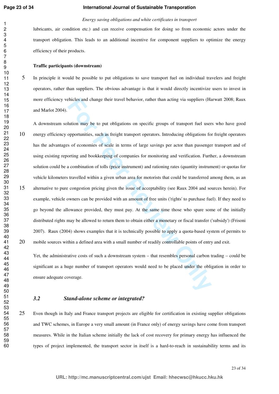#### **International Journal of Sustainable Transporation**

#### *Energy saving obligations and white certificates in transport*

lubricants, air condition etc.) and can receive compensation for doing so from economic actors under the transport obligation. This leads to an additional incentive for component suppliers to optimize the energy efficiency of their products.

#### **Traffic participants (downstream)**

In principle it would be possible to put obligations to save transport fuel on individual travelers and freight operators, rather than suppliers. The obvious advantage is that it would directly incentivize users to invest in more efficiency vehicles and change their travel behavior, rather than acting via suppliers (Harwatt 2008; Raux and Marlot 2004).

thicles and change their travel behavior, rather than acting via suppliers (Ha<br>
Ilution may be to put obligations on specific groups of transport fuel user<br>
opportunities, such as freight transport operators. Introducing o A downstream solution may be to put obligations on specific groups of transport fuel users who have good energy efficiency opportunities, such as freight transport operators. Introducing obligations for freight operators has the advantages of economies of scale in terms of large savings per actor than passenger transport and of using existing reporting and bookkeeping of companies for monitoring and verification. Further, a downstream solution could be a combination of tolls (price instrument) and rationing rates (quantity instrument) or quotas for vehicle kilometers travelled within a given urban area for motorists that could be transferred among them, as an alternative to pure congestion pricing given the issue of acceptability (see Raux 2004 and sources herein). For example, vehicle owners can be provided with an amount of free units ('rights' to purchase fuel). If they need to go beyond the allowance provided, they must pay. At the same time those who spare some of the initially distributed rights may be allowed to return them to obtain either a monetary or fiscal transfer ('subsidy') (Frisoni 2007). Raux (2004) shows examples that it is technically possible to apply a quota-based system of permits to mobile sources within a defined area with a small number of readily controllable points of entry and exit.

Yet, the administrative costs of such a downstream system – that resembles personal carbon trading – could be significant as a huge number of transport operators would need to be placed under the obligation in order to ensure adequate coverage.

#### *3.2 Stand-alone scheme or integrated?*

Even though in Italy and France transport projects are eligible for certification in existing supplier obligations and TWC schemes, in Europe a very small amount (in France only) of energy savings have come from transport measures. While in the Italian scheme initially the lack of cost recovery for primary energy has influenced the types of project implemented, the transport sector in itself is a hard-to-reach in sustainability terms and its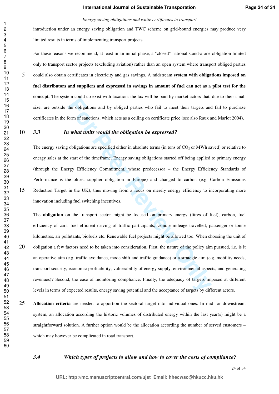#### *Energy saving obligations and white certificates in transport*

introduction under an energy saving obligation and TWC scheme on grid-bound energies may produce very limited results in terms of implementing transport projects.

For these reasons we recommend, at least in an initial phase, a "closed" national stand-alone obligation limited only to transport sector projects (excluding aviation) rather than an open system where transport obliged parties could also obtain certificates in electricity and gas savings. A midstream **system with obligations imposed on fuel distributors and suppliers and expressed in savings in amount of fuel can act as a pilot test for the concept**. The system could co-exist with taxation: the tax will be paid by market actors that, due to their small size, are outside the obligations and by obliged parties who fail to meet their targets and fail to purchase certificates in the form of sanctions, which acts as a ceiling on certificate price (see also Raux and Marlot 2004).

#### *3.3 In what units would the obligation be expressed?*

The energy saving obligations are specified either in absolute terms (in tons of  $CO<sub>2</sub>$  or MWh saved) or relative to energy sales at the start of the timeframe. Energy saving obligations started off being applied to primary energy (through the Energy Efficiency Commitment, whose predecessor – the Energy Efficiency Standards of Performance is the oldest supplier obligation in Europe) and changed to carbon (e.g. Carbon Emissions Reduction Target in the UK), thus moving from a focus on merely energy efficiency to incorporating more innovation including fuel switching incentives.

The total solution and by obliged parties who fail to meet their targets and<br>the obligations and by obliged parties who fail to meet their targets and<br>form of sanctions, which acts as a ceiling on certificate price (see al The **obligation** on the transport sector might be focused on primary energy (litres of fuel), carbon, fuel efficiency of cars, fuel efficient driving of traffic participants, vehicle mileage travelled, passenger or tonne kilometres, air pollutants, biofuels etc. Renewable fuel projects might be allowed too. When choosing the unit of obligation a few factors need to be taken into consideration. First, the nature of the policy aim pursued, i.e. is it an operative aim (e.g. traffic avoidance, mode shift and traffic guidance) or a strategic aim (e.g. mobility needs, transport security, economic profitability, vulnerability of energy supply, environmental aspects, and generating revenues)? Second, the ease of monitoring compliance. Finally, the adequacy of targets imposed at different levels in terms of expected results, energy saving potential and the acceptance of targets by different actors.

**Allocation criteria** are needed to apportion the sectoral target into individual ones. In mid- or downstream system, an allocation according the historic volumes of distributed energy within the last year(s) might be a straightforward solution. A further option would be the allocation according the number of served customers – which may however be complicated in road transport.

#### *3.4 Which types of projects to allow and how to cover the costs of compliance?*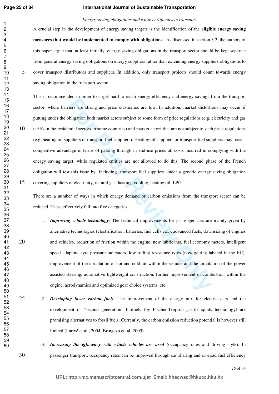#### **International Journal of Sustainable Transporation**

#### *Energy saving obligations and white certificates in transport*

A crucial step in the development of energy saving targets is the identification of the **eligible energy saving measures that would be implemented to comply with obligations**. As discussed in section 3.2, the authors of this paper argue that, at least initially, energy saving obligations in the transport sector should be kept separate from general energy saving obligations on energy suppliers rather than extending energy suppliers obligations to cover transport distributors and suppliers. In addition, only transport projects should count towards energy saving obligation in the transport sector.

the state in angle hand to teach energy entiredly and energy antings interest are strong and price elasticities are low. In addition, market distortibligation both market actors subject to some form of price regulations (e This is recommended in order to target hard-to-reach energy efficiency and energy savings from the transport sector, where barriers are strong and price elasticities are low. In addition, market distortions may occur if putting under the obligation both market actors subject to some form of price regulations (e.g. electricity and gas tariffs in the residential sectors in some countries) and market actors that are not subject to such price regulations (e.g. heating oil suppliers or transport fuel suppliers). Heating oil suppliers or transport fuel suppliers may have a competitive advantage in terms of passing through in end-use prices all costs incurred in complying with the energy saving target, while regulated entities are not allowed to do this. The second phase of the French obligation will test this issue by including transport fuel suppliers under a generic energy saving obligation covering suppliers of electricity, natural gas, heating, cooling, heating oil, LPG.

There are a number of ways in which energy demand or carbon emissions from the transport sector can be reduced. These effectively fall into five categories:

- 1. *Improving vehicle technology*. The technical improvements for passenger cars are mainly given by alternative technologies (electrification, batteries, fuel cells etc.), advanced fuels, downsizing of engines and vehicles, reduction of friction within the engine, new lubricants, fuel economy meters, intelligent speed adaptors, tyre pressure indicators, low rolling resistance tyres (now getting labeled in the EU), improvement of the circulation of hot and cold air within the vehicle and the circulation of the power assisted steering, automotive lightweight construction, further improvement of combustion within the engine, aerodynamics and optimized gear choice systems, etc.
- 2. *Developing lower carbon fuels*. The improvement of the energy mix for electric cars and the development of "second generation" biofuels (by Fischer-Tropsch gas-to-liquids technology) are promising alternatives to fossil fuels. Currently, the carbon emission reduction potential is however still limited (Larivé et al., 2004; Bringezu et. al. 2009).
- 
- 3. *Increasing the efficiency with which vehicles are used* (occupancy rates and driving style). In passenger transport, occupancy rates can be improved through car sharing and on-road fuel efficiency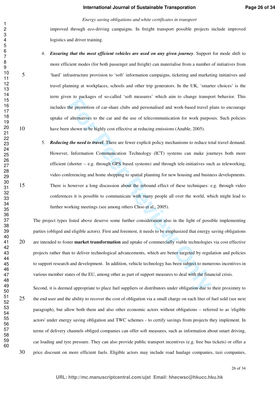#### *Energy saving obligations and white certificates in transport*

improved through eco-driving campaigns. In freight transport possible projects include improved logistics and driver training.

#### 4. *Ensuring that the most efficient vehicles are used on any given journey*. Support for mode shift to

more efficient modes (for both passenger and freight) can materialise from a number of initiatives from 'hard' infrastructure provision to 'soft' information campaigns, ticketing and marketing initiatives and travel planning at workplaces, schools and other trip generators. In the UK, 'smarter choices' is the term given to packages of so-called 'soft measures' which aim to change transport behavior. This includes the promotion of car-share clubs and personalised and work-based travel plans to encourage uptake of alternatives to the car and the use of telecommunication for work purposes. Such policies have been shown to be highly cost effective at reducing emissions (Anable, 2005).

**For Peer Act Conservation** of an elements and personalised and work-based travel phe promotion of car-share clubs and personalised and work-based travel p<br>alternatives to the car and the use of telecommunication for work 5. *Reducing the need to travel*. There are fewer explicit policy mechanisms to reduce total travel demand. However, Information Communication Technology (ICT) systems can make journeys both more efficient (shorter – e.g. through GPS based systems) and through tele-initiatives such as teleworking, video conferencing and home shopping to spatial planning for new housing and business developments. There is however a long discussion about the rebound effect of these techniques: e.g. through video conferences it is possible to communicate with many people all over the world, which might lead to further working meetings (see among others Choo et al., 2005).

The project types listed above deserve some further consideration also in the light of possible implementing parties (obliged and eligible actors). First and foremost, it needs to be emphasized that energy saving obligations are intended to foster **market transformation** and uptake of commercially viable technologies via cost effective projects rather than to deliver technological advancements, which are better targeted by regulation and policies to support research and development. In addition, vehicle technology has been subject to numerous incentives in various member states of the EU, among other as part of support measures to deal with the financial crisis.

Second, it is deemed appropriate to place fuel suppliers or distributors under obligation due to their proximity to the end user and the ability to recover the cost of obligation via a small charge on each liter of fuel sold (see next paragraph), but allow both them and also other economic actors without obligations – referred to as 'eligible actors' under energy saving obligation and TWC schemes - to certify savings from projects they implement. In terms of delivery channels obliged companies can offer soft measures, such as information about smart driving, car loading and tyre pressure. They can also provide public transport incentives (e.g. free bus tickets) or offer a price discount on more efficient fuels. Eligible actors may include road haulage companies, taxi companies,

 

 

26 of 34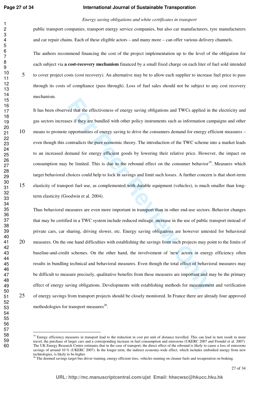#### **International Journal of Sustainable Transporation**

#### *Energy saving obligations and white certificates in transport*

public transport companies, transport energy service companies, but also car manufacturers, tyre manufacturers and car repair chains. Each of these eligible actors – and many more – can offer various delivery channels.

The authors recommend financing the cost of the project implementation up to the level of the obligation for each subject via **a cost-recovery mechanism** financed by a small fixed charge on each liter of fuel sold intended to cover project costs (cost recovery). An alternative may be to allow each supplier to increase fuel price to pass through its costs of compliance (pass through). Loss of fuel sales should not be subject to any cost recovery mechanism.

red that the effectiveness of energy saving obligations and TWCs applied in<br>es if they are bundled with other policy instruments such as information car<br>opportunities of energy saving to drive the consumers demand for ener It has been observed that the effectiveness of energy saving obligations and TWCs applied in the electricity and gas sectors increases if they are bundled with other policy instruments such as information campaigns and other means to promote opportunities of energy saving to drive the consumers demand for energy efficient measures – even though this contradicts the pure economic theory. The introduction of the TWC scheme into a market leads to an increased demand for energy efficient goods by lowering their relative price. However, the impact on consumption may be limited. This is due to the rebound effect on the consumer behavior<sup>19</sup>. Measures which target behavioral choices could help to lock in savings and limit such losses. A further concern is that short-term elasticity of transport fuel use, as complemented with durable equipment (vehicles), is much smaller than longterm elasticity (Goodwin et al. 2004).

Thus behavioral measures are even more important in transport than in other end-use sectors. Behavior changes that may be certified in a TWC system include reduced mileage, increase in the use of public transport instead of private cars, car sharing, driving slower, etc. Energy saving obligations are however untested for behavioral measures. On the one hand difficulties with establishing the savings from such projects may point to the limits of baseline-and-credit schemes. On the other hand, the involvement of 'new' actors in energy efficiency often results in bundling technical and behavioral measures. Even though the total effect of behavioral measures may be difficult to measure precisely, qualitative benefits from these measures are important and may be the primary effect of energy saving obligations. Developments with establishing methods for measurement and verification of energy savings from transport projects should be closely monitored. In France there are already four approved methodologies for transport measures $^{20}$ .

 $\overline{a}$ 

<sup>&</sup>lt;sup>19</sup> Energy efficiency measures in transport lead to the reduction in cost per unit of distance travelled. This can lead in turn result in more travel, the purchase of larger cars and a corresponding increase in fuel consumption and emissions (UKERC 2007 and Frondel et al. 2007). The UK Energy Research Centre estimates that in the case of transport, the direct effect of the rebound is likely to cause a loss of emissions savings of around 10 % (UKERC 2007). In the longer term, the indirect economy-wide effect, which includes embodied energy from new technologies, is likely to be higher.

<sup>&</sup>lt;sup>20</sup> The deemed savings target bus driver training, energy efficient tires, vehicles running on cleaner fuels and recuperation on braking.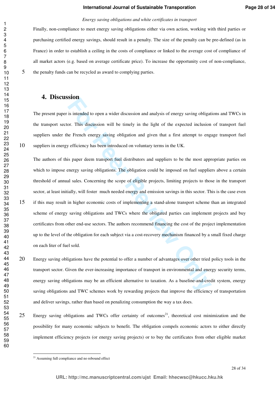#### *Energy saving obligations and white certificates in transport*

Finally, non-compliance to meet energy saving obligations either via own action, working with third parties or purchasing certified energy savings, should result in a penalty. The size of the penalty can be pre-defined (as in France) in order to establish a ceiling in the costs of compliance or linked to the average cost of compliance of all market actors (e.g. based on average certificate price). To increase the opportunity cost of non-compliance, the penalty funds can be recycled as award to complying parties.

## **4. Discussion**

The present paper is intended to open a wider discussion and analysis of energy saving obligations and TWCs in the transport sector. This discussion will be timely in the light of the expected inclusion of transport fuel suppliers under the French energy saving obligation and given that a first attempt to engage transport fuel suppliers in energy efficiency has been introduced on voluntary terms in the UK.

**Example 16** to open a wider discussion and analysis of energy saving obligat or. This discussion will be timely in the light of the expected inclusion Fe French energy saving obligation and given that a first attempt to e The authors of this paper deem transport fuel distributors and suppliers to be the most appropriate parties on which to impose energy saving obligations. The obligation could be imposed on fuel suppliers above a certain threshold of annual sales. Concerning the scope of eligible projects, limiting projects to those in the transport sector, at least initially, will foster much needed energy and emission savings in this sector. This is the case even if this may result in higher economic costs of implementing a stand-alone transport scheme than an integrated scheme of energy saving obligations and TWCs where the obligated parties can implement projects and buy certificates from other end-use sectors. The authors recommend financing the cost of the project implementation up to the level of the obligation for each subject via a cost-recovery mechanism financed by a small fixed charge on each liter of fuel sold.

Energy saving obligations have the potential to offer a number of advantages over other tried policy tools in the transport sector. Given the ever-increasing importance of transport in environmental and energy security terms, energy saving obligations may be an efficient alternative to taxation. As a baseline-and-credit system, energy saving obligations and TWC schemes work by rewarding projects that improve the efficiency of transportation and deliver savings, rather than based on penalizing consumption the way a tax does.

25 Energy saving obligations and TWCs offer certainty of outcomes<sup>21</sup>, theoretical cost minimization and the possibility for many economic subjects to benefit. The obligation compels economic actors to either directly implement efficiency projects (or energy saving projects) or to buy the certificates from other eligible market

 $\overline{a}$ 

<sup>&</sup>lt;sup>21</sup> Assuming full compliance and no rebound effect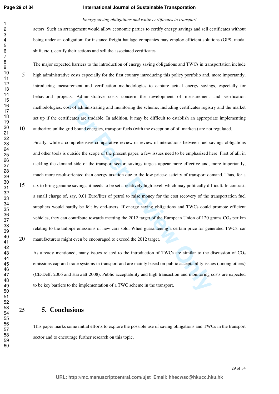#### **International Journal of Sustainable Transporation**

#### *Energy saving obligations and white certificates in transport*

actors. Such an arrangement would allow economic parties to certify energy savings and sell certificates without being under an obligation: for instance freight haulage companies may employ efficient solutions (GPS, modal shift, etc.), certify their actions and sell the associated certificates.

The major expected barriers to the introduction of energy saving obligations and TWCs in transportation include high administrative costs especially for the first country introducing this policy portfolio and, more importantly, introducing measurement and verification methodologies to capture actual energy savings, especially for behavioral projects. Administrative costs concern the development of measurement and verification methodologies, cost of administrating and monitoring the scheme, including certificates registry and the market set up if the certificates are tradable. In addition, it may be difficult to establish an appropriate implementing authority: unlike grid bound energies, transport fuels (with the exception of oil markets) are not regulated.

**Example 12** consident to the determinant of the determinant of diaministrating and monitoring the scheme, including certificates regist<br>Ficates are tradable. In addition, it may be difficult to establish an appropriate bo Finally, while a comprehensive comparative review or review of interactions between fuel savings obligations and other tools is outside the scope of the present paper, a few issues need to be emphasized here. First of all, in tackling the demand side of the transport sector, savings targets appear more effective and, more importantly, much more result-oriented than energy taxation due to the low price-elasticity of transport demand. Thus, for a tax to bring genuine savings, it needs to be set a relatively high level, which may politically difficult. In contrast, a small charge of, say, 0.01 Euro/liter of petrol to raise money for the cost recovery of the transportation fuel suppliers would hardly be felt by end-users. If energy saving obligations and TWCs could promote efficient vehicles, they can contribute towards meeting the 2012 target of the European Union of 120 grams  $CO<sub>2</sub>$  per km relating to the tailpipe emissions of new cars sold. When guaranteeing a certain price for generated TWCs, car 20 manufacturers might even be encouraged to exceed the 2012 target.

As already mentioned, many issues related to the introduction of TWCs are similar to the discussion of  $CO<sub>2</sub>$ emissions cap-and-trade systems in transport and are mainly based on public acceptability issues (among others) (CE-Delft 2006 and Harwatt 2008). Public acceptability and high transaction and monitoring costs are expected to be key barriers to the implementation of a TWC scheme in the transport.

## **5. Conclusions**

This paper marks some initial efforts to explore the possible use of saving obligations and TWCs in the transport sector and to encourage further research on this topic.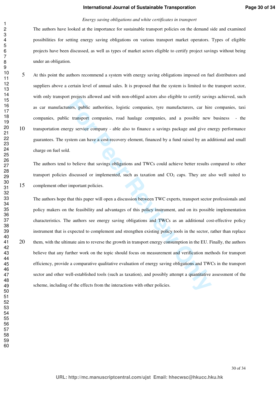#### *Energy saving obligations and white certificates in transport*

The authors have looked at the importance for sustainable transport policies on the demand side and examined possibilities for setting energy saving obligations on various transport market operators. Types of eligible projects have been discussed, as well as types of market actors eligible to certify project savings without being under an obligation.

At this point the authors recommend a system with energy saving obligations imposed on fuel distributors and suppliers above a certain level of annual sales. It is proposed that the system is limited to the transport sector, with only transport projects allowed and with non-obliged actors also eligible to certify savings achieved, such as car manufacturers, public authorities, logistic companies, tyre manufacturers, car hire companies, taxi companies, public transport companies, road haulage companies, and a possible new business - the transportation energy service company - able also to finance a savings package and give energy performance guarantees. The system can have a cost-recovery element, financed by a fund raised by an additional and small charge on fuel sold.

The authors tend to believe that savings obligations and TWCs could achieve better results compared to other transport policies discussed or implemented, such as taxation and  $CO<sub>2</sub>$  caps. They are also well suited to complement other important policies.

For Progretal antotrica and *n* and *n* and *n* and *n* and *enguine* as easy, and carrily antered and *n* and *n* and *n* and *n* and *n* and *n* and a possible new resp. can hive transport companies, road haulage compani The authors hope that this paper will open a discussion between TWC experts, transport sector professionals and policy makers on the feasibility and advantages of this policy instrument, and on its possible implementation characteristics. The authors see energy saving obligations and TWCs as an additional cost-effective policy instrument that is expected to complement and strengthen existing policy tools in the sector, rather than replace 20 them, with the ultimate aim to reverse the growth in transport energy consumption in the EU. Finally, the authors believe that any further work on the topic should focus on measurement and verification methods for transport efficiency, provide a comparative qualitative evaluation of energy saving obligations and TWCs in the transport sector and other well-established tools (such as taxation), and possibly attempt a quantitative assessment of the scheme, including of the effects from the interactions with other policies.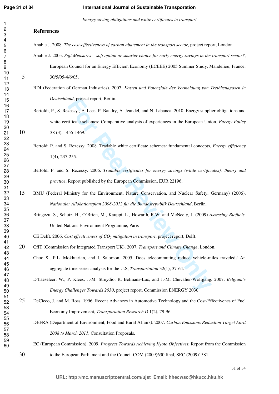#### **International Journal of Sustainable Transporation**

*Energy saving obligations and white certificates in transport* 

## **References**

- Anable J. 2008. *The cost-effectiveness of carbon abatement in the transport sector*, project report, London.
- Anable J. 2005. *Soft Measures soft option or smarter choice for early energy savings in the transport sector?*, European Council for an Energy Efficient Economy (ECEEE) 2005 Summer Study, Mandelieu, France, 30/5/05-4/6/05.
	- BDI (Federation of German Industries). 2007. *Kosten und Potenziale der Vermeidung von Treibhsuagasen in Deutschland*, project report, Berlin.
- *and*, project report, Berlin.<br> **Formally Exercy 5. Less, P. Baudry, A. Jeandel, and N. Labanca. 2010. Energy supplificate schemes: Comparative analysis of experiences in the European Unit<br>
<b>Formally Exercs** Review Compara Bertoldi, P., S. Rezessy , E. Lees, P. Baudry, A. Jeandel, and N. Labanca. 2010. Energy supplier obligations and white certificate schemes: Comparative analysis of experiences in the European Union. *Energy Policy* 38 (3), 1455-1469.
	- Bertoldi P. and S. Rezessy. 2008. Tradable white certificate schemes: fundamental concepts, *Energy efficiency* 1(4), 237-255.
	- Bertoldi P. and S. Rezessy. 2006. *Tradable certificates for energy savings (white certificates): theory and practice*, Report published by the European Commission, EUR 22196.
- BMU (Federal Ministry for the Environment, Nature Conservation, and Nuclear Safety, Germany) (2006), *Nationaler Allokationsplan 2008-2012 für die Bundesrepublik Deutschland*, Berlin.
	- Bringezu, S., Schutz, H., O´Brien, M., Kauppi, L., Howarth, R.W. and McNeely, J. (2009) *Assessing Biofuels*. United Nations Environment Programme, Paris
	- CE Delft. 2006. *Cost effectiveness of CO2 mitigation in transport*, project report, Delft.
- CfIT (Commission for Integrated Transport UK). 2007. *Transport and Climate Change*, London.
	- Choo S., P.L. Mokhtarian, and I. Salomon. 2005. Does telecommuting reduce vehicle-miles traveled? An aggregate time series analysis for the U.S, *Transportation* 32(1), 37-64.
	- D'haeseleer, W., P. Klees, J.-M. Streydio, R. Belmans-Luc, and J.-M. Chevalier-Wolfgang. 2007. *Belgium's Energy Challenges Towards 2030*, project report, Commission ENERGY 2030.
- DeCicco, J. and M. Ross. 1996. Recent Advances in Automotive Technology and the Cost-Effectivenes of Fuel Economy Improvement, *Transportation Research D* 1(2), 79-96.
	- DEFRA (Department of Environment, Food and Rural Affairs). 2007. *Carbon Emissions Reduction Target April 2008 to March 2011*, Consultation Proposals.
- EC (European Commission). 2009. *Progress Towards Achieving Kyoto Objectives.* Report from the Commission to the European Parliament and the Council COM (2009)630 final, SEC (2009)1581.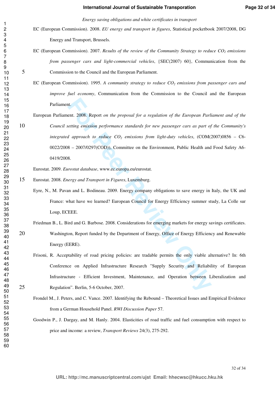#### **International Journal of Sustainable Transporation**

**Page 32 of 34**

*Energy saving obligations and white certificates in transport* 

- EC (European Commission). 2008. *EU energy and transport in figures*, Statistical pocketbook 2007/2008, DG Energy and Transport, Brussels.
- EC (European Commission). 2007. *Results of the review of the Community Strategy to reduce CO2 emissions from passenger cars and light-commercial vehicles*, {SEC(2007) 60}, Communication from the Commission to the Council and the European Parliament.
	- EC (European Commission). 1995. *A community strategy to reduce CO2 emissions from passenger cars and improve fuel economy*, Communication from the Commission to the Council and the European Parliament.
- The Maximum of the *Proposal for a regulation of the European Parlieting emission performance standards for new passenger cars as part of <i>d* approach to reduce CO<sub>2</sub> emissions from light-duty vehicles, (COM(3 2007/0297( European Parliament. 2008. Report *on the proposal for a regulation of the European Parliament and of the Council setting emission performance standards for new passenger cars as part of the Community's integrated approach to reduce CO2 emissions from light-duty vehicles*, (COM(2007)0856 – C6- 0022/2008 – 2007/0297(COD)), Committee on the Environment, Public Health and Food Safety A6- 0419/2008.

Eurostat. 2009. *Eurostat database*, www.ec.europa.eu/eurostat.

- Eurostat. 2008. *Energy and Transport in Figures*, Luxemburg.
	- Eyre, N., M. Pavan and L. Bodineau. 2009. Energy company obligations to save energy in Italy, the UK and France: what have we learned? European Council for Energy Efficiency summer study, La Colle sur Loup, ECEEE.
- Friedman B., L. Bird and G. Barbose. 2008. Considerations for emerging markets for energy savings certificates. 20 Washington, Report funded by the Department of Energy, Office of Energy Efficiency and Renewable Energy (EERE).
- Frisoni, R. Acceptability of road pricing policies: are tradable permits the only viable alternative? In: 6th Conference on Applied Infrastructure Research "Supply Security and Reliability of European Infrastructure - Efficient Investment, Maintenance, and Operation between Liberalization and Regulation". Berlin, 5-6 October, 2007.
	- Frondel M., J. Peters, and C. Vance. 2007. Identifying the Rebound Theoretical Issues and Empirical Evidence from a German Household Panel. *RWI Discussion Paper* 57.
	- Goodwin P., J. Dargay, and M. Hanly. 2004. Elasticities of road traffic and fuel consumption with respect to price and income: a review, *Transport Reviews* 24(3), 275-292.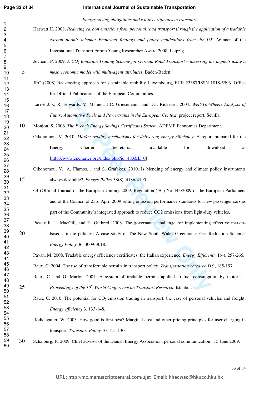#### **International Journal of Sustainable Transporation**

*Energy saving obligations and white certificates in transport* 

- Harwatt H. 2008. *Reducing carbon emissions from personal road transport through the application of a tradable carbon permit scheme: Empirical findings and policy implications from the UK*, Winner of the International Transport Forum Young Researcher Award 2008, Leipzig.
- Jochem, P. 2009. *A CO2 Emission Trading Scheme for German Road Transport assessing the impacts using a meso economic model with multi-agent attributes*, Baden-Baden.
	- JRC (2008) Backcasting approach for sustainable mobility Luxembourg, EUR 23387/ISSN 1018-5593, Office for Official Publications of the European Communities.
	- Larivé J.F., R. Edwards, V. Mahieu, J.C. Griesemann, and D.J. Rickeard. 2004. *Well-To-Wheels Analysis of Future Automotive Fuels and Powertrains in the European Context*, project report, Sevilla.
- Monjon, S. 2006. *The French Energy Savings Certificates System*, ADEME Economics Department.
	- Oikonomou, V. 2010. *Market trading mechanisms for delivering energy efficiency.* A report prepared for the Energy Charter Secretariat, available for download at [http://www.encharter.org/index.php?id=483&L=0]
- Oikonomou, V., A. Flamos, , and S. Grafakos. 2010. Is blending of energy and climate policy instruments always desirable?, *Energy Policy* 38(8), 4186-4195.
- **Example 18 and Powertrains**, and D.J. Rickeard. 2004. Well-To-Well-To-Matomotive Fuels and Powertrains in the European Context, project report, Set The French Energy Savings Certificates System, ADEME Economics Depart<br>The OJ (Official Journal of the European Union). 2009. Regulation (EC) No 443/2009 of the European Parliament and of the Council of 23rd April 2009 setting emission performance standards for new passenger cars as part of the Community's integrated approach to reduce CO2 emissions from light-duty vehicles.
- Passey R., I. MacGill, and H. Outhred. 2008. The governance challenge for implementing effective market-20 based climate policies: A case study of The New South Wales Greenhouse Gas Reduction Scheme, *Energy Policy* 36, 3009-3018.
	- Pavan, M. 2008. Tradable energy efficiency certificates: the Italian experience, *Energy Efficiency* 1(4), 257-266. Raux, C. 2004. The use of transferrable permits in transport policy, *Transportation research D* 9, 185-197.
- Raux, C. and G. Marlot. 2004. A system of tradable permits applied to fuel consumption by motorists, *Proceedings of the 10th World Conference on Transport Research*, Istanbul.
	- Raux, C. 2010. The potential for  $CO<sub>2</sub>$  emission trading in transport: the case of personal vehicles and freight, *Energy efficiency* 3, 133-148.
	- Rothengatter, W. 2003. How good is first best? Marginal cost and other pricing principles for user charging in transport, *Transport Policy* 10, 121-130.
- Schalburg, R. 2009. Chief advisor of the Danish Energy Association, personal communication , 15 June 2009.